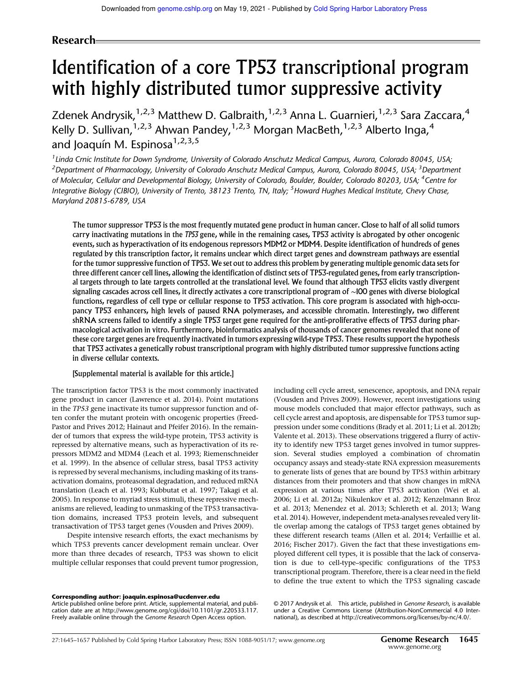## Research

# Identification of a core TP53 transcriptional program with highly distributed tumor suppressive activity

Zdenek Andrysik,<sup>1,2,3</sup> Matthew D. Galbraith,<sup>1,2,3</sup> Anna L. Guarnieri,<sup>1,2,3</sup> Sara Zaccara,<sup>4</sup> Kelly D. Sullivan,  $1,2,3$  Ahwan Pandey,  $1,2,3$  Morgan MacBeth,  $1,2,3$  Alberto Inga,  $4$ and Joaquín M. Espinosa $1,2,3,5$ 

<sup>1</sup> Linda Crnic Institute for Down Syndrome, University of Colorado Anschutz Medical Campus, Aurora, Colorado 80045, USA; <sup>2</sup> Department of Pharmacology, University of Colorado Anschutz Medical Campus, Aurora, Colorado 80045, USA; <sup>3</sup> Department of Molecular, Cellular and Developmental Biology, University of Colorado, Boulder, Boulder, Colorado 80203, USA; <sup>4</sup>Centre for Integrative Biology (CIBIO), University of Trento, 38123 Trento, TN, Italy; <sup>5</sup>Howard Hughes Medical Institute, Chevy Chase, Maryland 20815-6789, USA

The tumor suppressor TP53 is the most frequently mutated gene product in human cancer. Close to half of all solid tumors carry inactivating mutations in the TP53 gene, while in the remaining cases, TP53 activity is abrogated by other oncogenic events, such as hyperactivation of its endogenous repressors MDM2 or MDM4. Despite identification of hundreds of genes regulated by this transcription factor, it remains unclear which direct target genes and downstream pathways are essential for the tumor suppressive function of TP53. We set out to address this problem by generating multiple genomic data sets for three different cancer cell lines, allowing the identification of distinct sets of TP53-regulated genes, from early transcriptional targets through to late targets controlled at the translational level. We found that although TP53 elicits vastly divergent signaling cascades across cell lines, it directly activates a core transcriptional program of ∼100 genes with diverse biological functions, regardless of cell type or cellular response to TP53 activation. This core program is associated with high-occupancy TP53 enhancers, high levels of paused RNA polymerases, and accessible chromatin. Interestingly, two different shRNA screens failed to identify a single TP53 target gene required for the anti-proliferative effects of TP53 during pharmacological activation in vitro. Furthermore, bioinformatics analysis of thousands of cancer genomes revealed that none of these core target genes are frequently inactivated in tumors expressing wild-type TP53. These results support the hypothesis that TP53 activates a genetically robust transcriptional program with highly distributed tumor suppressive functions acting in diverse cellular contexts.

### [Supplemental material is available for this article.]

The transcription factor TP53 is the most commonly inactivated gene product in cancer (Lawrence et al. 2014). Point mutations in the *TP53* gene inactivate its tumor suppressor function and often confer the mutant protein with oncogenic properties (Freed-Pastor and Prives 2012; Hainaut and Pfeifer 2016). In the remainder of tumors that express the wild-type protein, TP53 activity is repressed by alternative means, such as hyperactivation of its repressors MDM2 and MDM4 (Leach et al. 1993; Riemenschneider et al. 1999). In the absence of cellular stress, basal TP53 activity is repressed by several mechanisms, including masking of its transactivation domains, proteasomal degradation, and reduced mRNA translation (Leach et al. 1993; Kubbutat et al. 1997; Takagi et al. 2005). In response to myriad stress stimuli, these repressive mechanisms are relieved, leading to unmasking of the TP53 transactivation domains, increased TP53 protein levels, and subsequent transactivation of TP53 target genes (Vousden and Prives 2009).

Despite intensive research efforts, the exact mechanisms by which TP53 prevents cancer development remain unclear. Over more than three decades of research, TP53 was shown to elicit multiple cellular responses that could prevent tumor progression, including cell cycle arrest, senescence, apoptosis, and DNA repair (Vousden and Prives 2009). However, recent investigations using mouse models concluded that major effector pathways, such as cell cycle arrest and apoptosis, are dispensable for TP53 tumor suppression under some conditions (Brady et al. 2011; Li et al. 2012b; Valente et al. 2013). These observations triggered a flurry of activity to identify new TP53 target genes involved in tumor suppression. Several studies employed a combination of chromatin occupancy assays and steady-state RNA expression measurements to generate lists of genes that are bound by TP53 within arbitrary distances from their promoters and that show changes in mRNA expression at various times after TP53 activation (Wei et al. 2006; Li et al. 2012a; Nikulenkov et al. 2012; Kenzelmann Broz et al. 2013; Menendez et al. 2013; Schlereth et al. 2013; Wang et al. 2014). However, independent meta-analyses revealed very little overlap among the catalogs of TP53 target genes obtained by these different research teams (Allen et al. 2014; Verfaillie et al. 2016; Fischer 2017). Given the fact that these investigations employed different cell types, it is possible that the lack of conservation is due to cell-type–specific configurations of the TP53 transcriptional program. Therefore, there is a clear need in the field to define the true extent to which the TP53 signaling cascade

#### Corresponding author: joaquin.espinosa@ucdenver.edu

Article published online before print. Article, supplemental material, and publication date are at http://www.genome.org/cgi/doi/10.1101/gr.220533.117. Freely available online through the Genome Research Open Access option.

© 2017 Andrysik et al. This article, published in Genome Research, is available under a Creative Commons License (Attribution-NonCommercial 4.0 International), as described at http://creativecommons.org/licenses/by-nc/4.0/.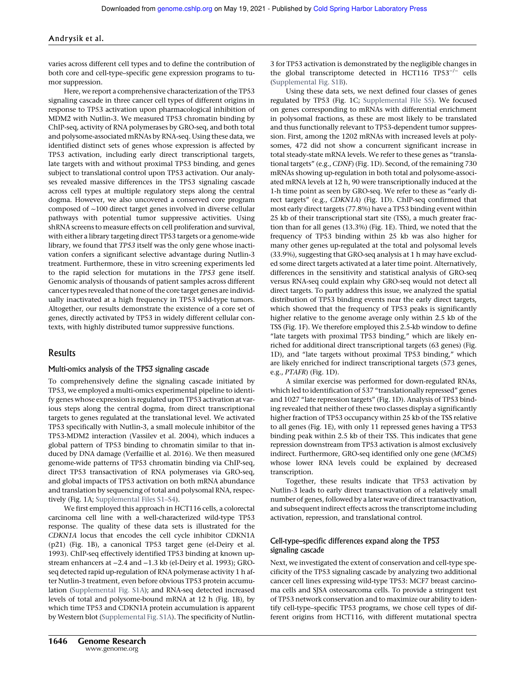varies across different cell types and to define the contribution of both core and cell-type–specific gene expression programs to tumor suppression.

Here, we report a comprehensive characterization of the TP53 signaling cascade in three cancer cell types of different origins in response to TP53 activation upon pharmacological inhibition of MDM2 with Nutlin-3. We measured TP53 chromatin binding by ChIP-seq, activity of RNA polymerases by GRO-seq, and both total and polysome-associated mRNAs by RNA-seq. Using these data, we identified distinct sets of genes whose expression is affected by TP53 activation, including early direct transcriptional targets, late targets with and without proximal TP53 binding, and genes subject to translational control upon TP53 activation. Our analyses revealed massive differences in the TP53 signaling cascade across cell types at multiple regulatory steps along the central dogma. However, we also uncovered a conserved core program composed of ∼100 direct target genes involved in diverse cellular pathways with potential tumor suppressive activities. Using shRNA screens to measure effects on cell proliferation and survival, with either a library targeting direct TP53 targets or a genome-wide library, we found that *TP53* itself was the only gene whose inactivation confers a significant selective advantage during Nutlin-3 treatment. Furthermore, these in vitro screening experiments led to the rapid selection for mutations in the *TP53* gene itself. Genomic analysis of thousands of patient samples across different cancer types revealed that none of the core target genes are individually inactivated at a high frequency in TP53 wild-type tumors. Altogether, our results demonstrate the existence of a core set of genes, directly activated by TP53 in widely different cellular contexts, with highly distributed tumor suppressive functions.

## Results

## Multi-omics analysis of the TP53 signaling cascade

To comprehensively define the signaling cascade initiated by TP53, we employed a multi-omics experimental pipeline to identify genes whose expression is regulated upon TP53 activation at various steps along the central dogma, from direct transcriptional targets to genes regulated at the translational level. We activated TP53 specifically with Nutlin-3, a small molecule inhibitor of the TP53-MDM2 interaction (Vassilev et al. 2004), which induces a global pattern of TP53 binding to chromatin similar to that induced by DNA damage (Verfaillie et al. 2016). We then measured genome-wide patterns of TP53 chromatin binding via ChIP-seq, direct TP53 transactivation of RNA polymerases via GRO-seq, and global impacts of TP53 activation on both mRNA abundance and translation by sequencing of total and polysomal RNA, respectively (Fig. 1A; Supplemental Files S1–S4).

We first employed this approach in HCT116 cells, a colorectal carcinoma cell line with a well-characterized wild-type TP53 response. The quality of these data sets is illustrated for the *CDKN1A* locus that encodes the cell cycle inhibitor CDKN1A (p21) (Fig. 1B), a canonical TP53 target gene (el-Deiry et al. 1993). ChIP-seq effectively identified TP53 binding at known upstream enhancers at −2.4 and −1.3 kb (el-Deiry et al. 1993); GROseq detected rapid up-regulation of RNA polymerase activity 1 h after Nutlin-3 treatment, even before obvious TP53 protein accumulation (Supplemental Fig. S1A); and RNA-seq detected increased levels of total and polysome-bound mRNA at 12 h (Fig. 1B), by which time TP53 and CDKN1A protein accumulation is apparent by Western blot (Supplemental Fig. S1A). The specificity of Nutlin3 for TP53 activation is demonstrated by the negligible changes in the global transcriptome detected in HCT116 TP53−/<sup>−</sup> cells (Supplemental Fig. S1B).

Using these data sets, we next defined four classes of genes regulated by TP53 (Fig. 1C; Supplemental File S5). We focused on genes corresponding to mRNAs with differential enrichment in polysomal fractions, as these are most likely to be translated and thus functionally relevant to TP53-dependent tumor suppression. First, among the 1202 mRNAs with increased levels at polysomes, 472 did not show a concurrent significant increase in total steady-state mRNA levels. We refer to these genes as "translational targets" (e.g., *CDNF*) (Fig. 1D). Second, of the remaining 730 mRNAs showing up-regulation in both total and polysome-associated mRNA levels at 12 h, 90 were transcriptionally induced at the 1-h time point as seen by GRO-seq. We refer to these as "early direct targets" (e.g., *CDKN1A*) (Fig. 1D). ChIP-seq confirmed that most early direct targets (77.8%) have a TP53 binding event within 25 kb of their transcriptional start site (TSS), a much greater fraction than for all genes (13.3%) (Fig. 1E). Third, we noted that the frequency of TP53 binding within 25 kb was also higher for many other genes up-regulated at the total and polysomal levels (33.9%), suggesting that GRO-seq analysis at 1 h may have excluded some direct targets activated at a later time point. Alternatively, differences in the sensitivity and statistical analysis of GRO-seq versus RNA-seq could explain why GRO-seq would not detect all direct targets. To partly address this issue, we analyzed the spatial distribution of TP53 binding events near the early direct targets, which showed that the frequency of TP53 peaks is significantly higher relative to the genome average only within 2.5 kb of the TSS (Fig. 1F). We therefore employed this 2.5-kb window to define "late targets with proximal TP53 binding," which are likely enriched for additional direct transcriptional targets (63 genes) (Fig. 1D), and "late targets without proximal TP53 binding," which are likely enriched for indirect transcriptional targets (573 genes, e.g., *PTAFR*) (Fig. 1D).

A similar exercise was performed for down-regulated RNAs, which led to identification of 537 "translationally repressed" genes and 1027 "late repression targets" (Fig. 1D). Analysis of TP53 binding revealed that neither of these two classes display a significantly higher fraction of TP53 occupancy within 25 kb of the TSS relative to all genes (Fig. 1E), with only 11 repressed genes having a TP53 binding peak within 2.5 kb of their TSS. This indicates that gene repression downstream from TP53 activation is almost exclusively indirect. Furthermore, GRO-seq identified only one gene (*MCM5*) whose lower RNA levels could be explained by decreased transcription.

Together, these results indicate that TP53 activation by Nutlin-3 leads to early direct transactivation of a relatively small number of genes, followed by a later wave of direct transactivation, and subsequent indirect effects across the transcriptome including activation, repression, and translational control.

## Cell-type–specific differences expand along the TP53 signaling cascade

Next, we investigated the extent of conservation and cell-type specificity of the TP53 signaling cascade by analyzing two additional cancer cell lines expressing wild-type TP53: MCF7 breast carcinoma cells and SJSA osteosarcoma cells. To provide a stringent test of TP53 network conservation and to maximize our ability to identify cell-type–specific TP53 programs, we chose cell types of different origins from HCT116, with different mutational spectra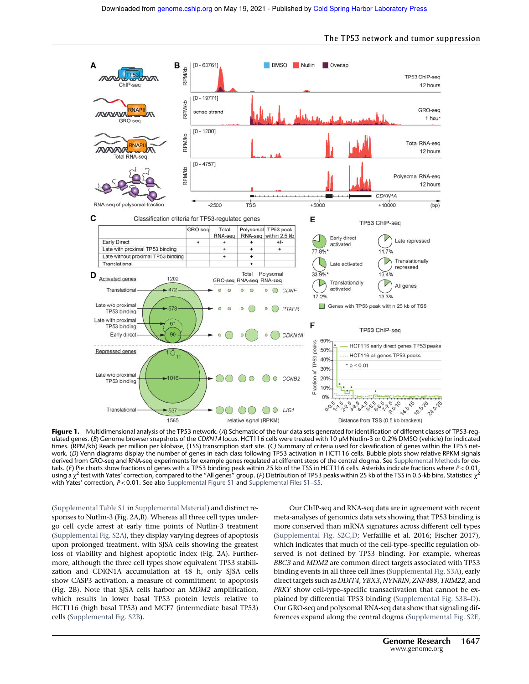

Figure 1. Multidimensional analysis of the TP53 network. (A) Schematic of the four data sets generated for identification of different classes of TP53-regulated genes. (B) Genome browser snapshots of the CDKN1A locus. HCT116 cells were treated with 10 µM Nutlin-3 or 0.2% DMSO (vehicle) for indicated times. (RPM/kb) Reads per million per kilobase, (TSS) transcription start site. (C) Summary of criteria used for classification of genes within the TP53 network. (D) Venn diagrams display the number of genes in each class following TP53 activation in HCT116 cells. Bubble plots show relative RPKM signals derived from GRO-seq and RNA-seq experiments for example genes regulated at different steps of the central dogma. See Supplemental Methods for details. (E) Pie charts show fractions of genes with a TP53 binding peak within 25 kb of the TSS in HCT116 cells. Asterisks indicate fractions where P < 0.01, using a  $\chi^2$  test with Yates' correction, compared to the "All genes" group. (F) Distribution of TP53 peaks within 25 kb of the TSS in 0.5-kb bins. Statistics:  $\chi^2$ with Yates' correction, P<0.01. See also Supplemental Figure S1 and Supplemental Files S1-S5.

(Supplemental Table S1 in Supplemental Material) and distinct responses to Nutlin-3 (Fig. 2A,B). Whereas all three cell types undergo cell cycle arrest at early time points of Nutlin-3 treatment (Supplemental Fig. S2A), they display varying degrees of apoptosis upon prolonged treatment, with SJSA cells showing the greatest loss of viability and highest apoptotic index (Fig. 2A). Furthermore, although the three cell types show equivalent TP53 stabilization and CDKN1A accumulation at 48 h, only SJSA cells show CASP3 activation, a measure of commitment to apoptosis (Fig. 2B). Note that SJSA cells harbor an *MDM2* amplification, which results in lower basal TP53 protein levels relative to HCT116 (high basal TP53) and MCF7 (intermediate basal TP53) cells (Supplemental Fig. S2B).

Our ChIP-seq and RNA-seq data are in agreement with recent meta-analyses of genomics data sets showing that TP53 binding is more conserved than mRNA signatures across different cell types (Supplemental Fig. S2C,D; Verfaillie et al. 2016; Fischer 2017), which indicates that much of the cell-type–specific regulation observed is not defined by TP53 binding. For example, whereas *BBC3* and *MDM2* are common direct targets associated with TP53 binding events in all three cell lines (Supplemental Fig. S3A), early direct targets such as *DDIT4*,*YBX3*, *NYNRIN*,*ZNF488*,*TRIM22*, and *PRKY* show cell-type–specific transactivation that cannot be explained by differential TP53 binding (Supplemental Fig. S3B–D). Our GRO-seq and polysomal RNA-seq data show that signaling differences expand along the central dogma (Supplemental Fig. S2E,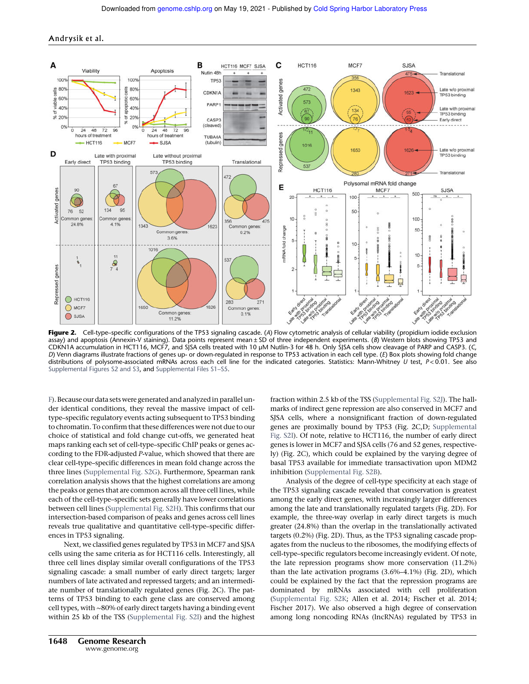

Figure 2. Cell-type–specific configurations of the TP53 signaling cascade. (A) Flow cytometric analysis of cellular viability (propidium iodide exclusion assay) and apoptosis (Annexin-V staining). Data points represent mean  $\pm$  SD of three independent experiments. (B) Western blots showing TP53 and CDKN1A accumulation in HCT116, MCF7, and SJSA cells treated with 10 µM Nutlin-3 for 48 h. Only SJSA cells show cleavage of PARP and CASP3. (C, D) Venn diagrams illustrate fractions of genes up- or down-regulated in response to TP53 activation in each cell type. (E) Box plots showing fold change distributions of polysome-associated mRNAs across each cell line for the indicated categories. Statistics: Mann-Whitney U test, P<0.01. See also Supplemental Figures S2 and S3, and Supplemental Files S1-S5.

F). Because our data sets were generated and analyzed in parallel under identical conditions, they reveal the massive impact of celltype–specific regulatory events acting subsequent to TP53 binding to chromatin. To confirm that these differences were not due to our choice of statistical and fold change cut-offs, we generated heat maps ranking each set of cell-type–specific ChIP peaks or genes according to the FDR-adjusted *P*-value, which showed that there are clear cell-type–specific differences in mean fold change across the three lines (Supplemental Fig. S2G). Furthermore, Spearman rank correlation analysis shows that the highest correlations are among the peaks or genes that are common across all three cell lines, while each of the cell-type–specific sets generally have lower correlations between cell lines (Supplemental Fig. S2H). This confirms that our intersection-based comparison of peaks and genes across cell lines reveals true qualitative and quantitative cell-type–specific differences in TP53 signaling.

Next, we classified genes regulated by TP53 in MCF7 and SJSA cells using the same criteria as for HCT116 cells. Interestingly, all three cell lines display similar overall configurations of the TP53 signaling cascade: a small number of early direct targets; larger numbers of late activated and repressed targets; and an intermediate number of translationally regulated genes (Fig. 2C). The patterns of TP53 binding to each gene class are conserved among cell types, with ∼80% of early direct targets having a binding event within 25 kb of the TSS (Supplemental Fig. S2I) and the highest fraction within 2.5 kb of the TSS (Supplemental Fig. S2J). The hallmarks of indirect gene repression are also conserved in MCF7 and SJSA cells, where a nonsignificant fraction of down-regulated genes are proximally bound by TP53 (Fig. 2C,D; Supplemental Fig. S2I). Of note, relative to HCT116, the number of early direct genes is lower in MCF7 and SJSA cells (76 and 52 genes, respectively) (Fig. 2C), which could be explained by the varying degree of basal TP53 available for immediate transactivation upon MDM2 inhibition (Supplemental Fig. S2B).

Analysis of the degree of cell-type specificity at each stage of the TP53 signaling cascade revealed that conservation is greatest among the early direct genes, with increasingly larger differences among the late and translationally regulated targets (Fig. 2D). For example, the three-way overlap in early direct targets is much greater (24.8%) than the overlap in the translationally activated targets (0.2%) (Fig. 2D). Thus, as the TP53 signaling cascade propagates from the nucleus to the ribosomes, the modifying effects of cell-type–specific regulators become increasingly evident. Of note, the late repression programs show more conservation (11.2%) than the late activation programs (3.6%–4.1%) (Fig. 2D), which could be explained by the fact that the repression programs are dominated by mRNAs associated with cell proliferation (Supplemental Fig. S2K; Allen et al. 2014; Fischer et al. 2014; Fischer 2017). We also observed a high degree of conservation among long noncoding RNAs (lncRNAs) regulated by TP53 in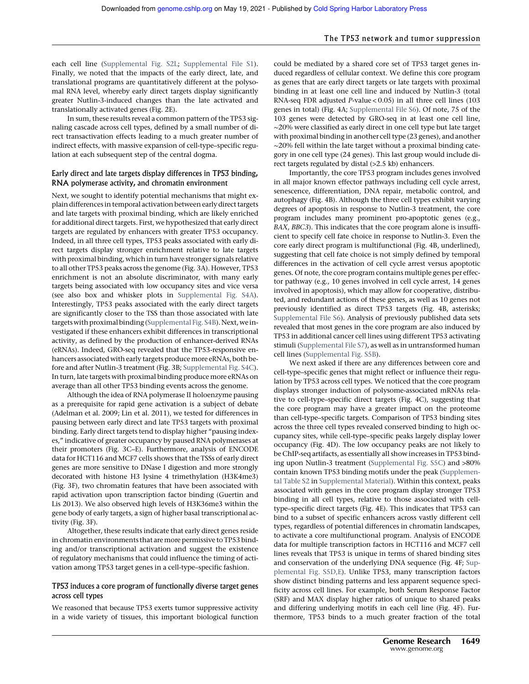each cell line (Supplemental Fig. S2L; Supplemental File S1). Finally, we noted that the impacts of the early direct, late, and translational programs are quantitatively different at the polysomal RNA level, whereby early direct targets display significantly greater Nutlin-3-induced changes than the late activated and translationally activated genes (Fig. 2E).

In sum, these results reveal a common pattern of the TP53 signaling cascade across cell types, defined by a small number of direct transactivation effects leading to a much greater number of indirect effects, with massive expansion of cell-type–specific regulation at each subsequent step of the central dogma.

## Early direct and late targets display differences in TP53 binding, RNA polymerase activity, and chromatin environment

Next, we sought to identify potential mechanisms that might explain differences in temporal activation between early direct targets and late targets with proximal binding, which are likely enriched for additional direct targets. First, we hypothesized that early direct targets are regulated by enhancers with greater TP53 occupancy. Indeed, in all three cell types, TP53 peaks associated with early direct targets display stronger enrichment relative to late targets with proximal binding, which in turn have stronger signals relative to all other TP53 peaks across the genome (Fig. 3A). However, TP53 enrichment is not an absolute discriminator, with many early targets being associated with low occupancy sites and vice versa (see also box and whisker plots in Supplemental Fig. S4A). Interestingly, TP53 peaks associated with the early direct targets are significantly closer to the TSS than those associated with late targets with proximal binding (Supplemental Fig. S4B). Next, we investigated if these enhancers exhibit differences in transcriptional activity, as defined by the production of enhancer-derived RNAs (eRNAs). Indeed, GRO-seq revealed that the TP53-responsive enhancers associated with early targets produce more eRNAs, both before and after Nutlin-3 treatment (Fig. 3B; Supplemental Fig. S4C). In turn, late targets with proximal binding produce more eRNAs on average than all other TP53 binding events across the genome.

Although the idea of RNA polymerase II holoenzyme pausing as a prerequisite for rapid gene activation is a subject of debate (Adelman et al. 2009; Lin et al. 2011), we tested for differences in pausing between early direct and late TP53 targets with proximal binding. Early direct targets tend to display higher "pausing indexes," indicative of greater occupancy by paused RNA polymerases at their promoters (Fig. 3C–E). Furthermore, analysis of ENCODE data for HCT116 and MCF7 cells shows that the TSSs of early direct genes are more sensitive to DNase I digestion and more strongly decorated with histone H3 lysine 4 trimethylation (H3K4me3) (Fig. 3F), two chromatin features that have been associated with rapid activation upon transcription factor binding (Guertin and Lis 2013). We also observed high levels of H3K36me3 within the gene body of early targets, a sign of higher basal transcriptional activity (Fig. 3F).

Altogether, these results indicate that early direct genes reside in chromatin environments that are more permissive to TP53 binding and/or transcriptional activation and suggest the existence of regulatory mechanisms that could influence the timing of activation among TP53 target genes in a cell-type–specific fashion.

## TP53 induces a core program of functionally diverse target genes across cell types

We reasoned that because TP53 exerts tumor suppressive activity in a wide variety of tissues, this important biological function could be mediated by a shared core set of TP53 target genes induced regardless of cellular context. We define this core program as genes that are early direct targets or late targets with proximal binding in at least one cell line and induced by Nutlin-3 (total RNA-seq FDR adjusted *P*-value < 0.05) in all three cell lines (103 genes in total) (Fig. 4A; Supplemental File S6). Of note, 75 of the 103 genes were detected by GRO-seq in at least one cell line, ∼20% were classified as early direct in one cell type but late target with proximal binding in another cell type (23 genes), and another ∼20% fell within the late target without a proximal binding category in one cell type (24 genes). This last group would include direct targets regulated by distal (>2.5 kb) enhancers.

Importantly, the core TP53 program includes genes involved in all major known effector pathways including cell cycle arrest, senescence, differentiation, DNA repair, metabolic control, and autophagy (Fig. 4B). Although the three cell types exhibit varying degrees of apoptosis in response to Nutlin-3 treatment, the core program includes many prominent pro-apoptotic genes (e.g., *BAX*, *BBC3*). This indicates that the core program alone is insufficient to specify cell fate choice in response to Nutlin-3. Even the core early direct program is multifunctional (Fig. 4B, underlined), suggesting that cell fate choice is not simply defined by temporal differences in the activation of cell cycle arrest versus apoptotic genes. Of note, the core program contains multiple genes per effector pathway (e.g., 10 genes involved in cell cycle arrest, 14 genes involved in apoptosis), which may allow for cooperative, distributed, and redundant actions of these genes, as well as 10 genes not previously identified as direct TP53 targets (Fig. 4B, asterisks; Supplemental File S6). Analysis of previously published data sets revealed that most genes in the core program are also induced by TP53 in additional cancer cell lines using different TP53 activating stimuli (Supplemental File S7), as well as in untransformed human cell lines (Supplemental Fig. S5B).

We next asked if there are any differences between core and cell-type–specific genes that might reflect or influence their regulation by TP53 across cell types. We noticed that the core program displays stronger induction of polysome-associated mRNAs relative to cell-type–specific direct targets (Fig. 4C), suggesting that the core program may have a greater impact on the proteome than cell-type–specific targets. Comparison of TP53 binding sites across the three cell types revealed conserved binding to high occupancy sites, while cell-type–specific peaks largely display lower occupancy (Fig. 4D). The low occupancy peaks are not likely to be ChIP-seq artifacts, as essentially all show increases in TP53 binding upon Nutlin-3 treatment (Supplemental Fig. S5C) and >80% contain known TP53 binding motifs under the peak (Supplemental Table S2 in Supplemental Material). Within this context, peaks associated with genes in the core program display stronger TP53 binding in all cell types, relative to those associated with celltype–specific direct targets (Fig. 4E). This indicates that TP53 can bind to a subset of specific enhancers across vastly different cell types, regardless of potential differences in chromatin landscapes, to activate a core multifunctional program. Analysis of ENCODE data for multiple transcription factors in HCT116 and MCF7 cell lines reveals that TP53 is unique in terms of shared binding sites and conservation of the underlying DNA sequence (Fig. 4F; Supplemental Fig. S5D,E). Unlike TP53, many transcription factors show distinct binding patterns and less apparent sequence specificity across cell lines. For example, both Serum Response Factor (SRF) and MAX display higher ratios of unique to shared peaks and differing underlying motifs in each cell line (Fig. 4F). Furthermore, TP53 binds to a much greater fraction of the total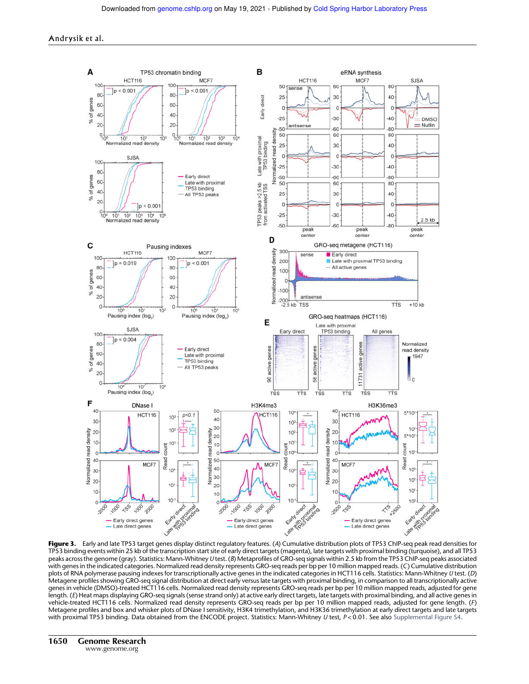![](_page_5_Figure_2.jpeg)

TP53 binding events within 25 kb of the transcription start site of early direct targets (magenta), late targets with proximal binding (turquoise), and all TP53 peaks across the genome (gray). Statistics: Mann-Whitney U test. (B) Metaprofiles of GRO-seq signals within 2.5 kb from the TP53 ChIP-seq peaks associated with genes in the indicated categories. Normalized read density represents GRO-seq reads per bp per 10 million mapped reads. (C) Cumulative distribution plots of RNA polymerase pausing indexes for transcriptionally active genes in the indicated categories in HCT116 cells. Statistics: Mann-Whitney U test. (D) Metagene profiles showing GRO-seq signal distribution at direct early versus late targets with proximal binding, in comparison to all transcriptionally active genes in vehicle (DMSO)-treated HCT116 cells. Normalized read density represents GRO-seq reads per bp per 10 million mapped reads, adjusted for gene length. (E) Heat maps displaying GRO-seq signals (sense strand only) at active early direct targets, late targets with proximal binding, and all active genes in vehicle-treated HCT116 cells. Normalized read density represents GRO-seq reads per bp per 10 million mapped reads, adjusted for gene length. (F) Metagene profiles and box and whisker plots of DNase I sensitivity, H3K4 trimethylation, and H3K36 trimethylation at early direct targets and late targets with proximal TP53 binding. Data obtained from the ENCODE project. Statistics: Mann-Whitney U test, P<0.01. See also Supplemental Figure S4.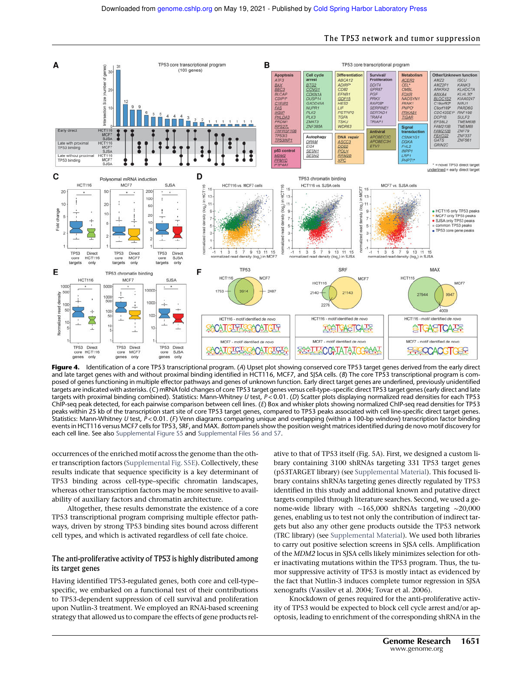![](_page_6_Figure_1.jpeg)

The TP53 network and tumor suppression

Figure 4. Identification of a core TP53 transcriptional program. (A) Upset plot showing conserved core TP53 target genes derived from the early direct and late target genes with and without proximal binding identified in HCT116, MCF7, and SJSA cells. (B) The core TP53 transcriptional program is composed of genes functioning in multiple effector pathways and genes of unknown function. Early direct target genes are underlined, previously unidentified targets are indicated with asterisks. (C) mRNA fold changes of core TP53 target genes versus cell-type–specific direct TP53 target genes (early direct and late targets with proximal binding combined). Statistics: Mann-Whitney U test,  $P < 0.01$ . (D) Scatter plots displaying normalized read densities for each TP53 ChIP-seq peak detected, for each pairwise comparison between cell lines. (E) Box and whisker plots showing normalized ChIP-seq read densities for TP53 peaks within 25 kb of the transcription start site of core TP53 target genes, compared to TP53 peaks associated with cell line-specific direct target genes. Statistics: Mann-Whitney U test,  $P < 0.01$ . (F) Venn diagrams comparing unique and overlapping (within a 100-bp window) transcription factor binding events in HCT116 versus MCF7 cells for TP53, SRF, and MAX. Bottom panels show the position weight matrices identified during de novo motif discovery for each cell line. See also Supplemental Figure S5 and Supplemental Files S6 and S7.

occurrences of the enriched motif across the genome than the other transcription factors (Supplemental Fig. S5E). Collectively, these results indicate that sequence specificity is a key determinant of TP53 binding across cell-type–specific chromatin landscapes, whereas other transcription factors may be more sensitive to availability of auxiliary factors and chromatin architecture.

Altogether, these results demonstrate the existence of a core TP53 transcriptional program comprising multiple effector pathways, driven by strong TP53 binding sites bound across different cell types, and which is activated regardless of cell fate choice.

## The anti-proliferative activity of TP53 is highly distributed among its target genes

Having identified TP53-regulated genes, both core and cell-type– specific, we embarked on a functional test of their contributions to TP53-dependent suppression of cell survival and proliferation upon Nutlin-3 treatment. We employed an RNAi-based screening strategy that allowed us to compare the effects of gene products rel-

ative to that of TP53 itself (Fig. 5A). First, we designed a custom library containing 3100 shRNAs targeting 331 TP53 target genes (p53TARGET library) (see Supplemental Material). This focused library contains shRNAs targeting genes directly regulated by TP53 identified in this study and additional known and putative direct targets compiled through literature searches. Second, we used a genome-wide library with ∼165,000 shRNAs targeting ∼20,000 genes, enabling us to test not only the contribution of indirect targets but also any other gene products outside the TP53 network (TRC library) (see Supplemental Material). We used both libraries to carry out positive selection screens in SJSA cells. Amplification of the *MDM2* locus in SJSA cells likely minimizes selection for other inactivating mutations within the TP53 program. Thus, the tumor suppressive activity of TP53 is mostly intact as evidenced by the fact that Nutlin-3 induces complete tumor regression in SJSA xenografts (Vassilev et al. 2004; Tovar et al. 2006).

Knockdown of genes required for the anti-proliferative activity of TP53 would be expected to block cell cycle arrest and/or apoptosis, leading to enrichment of the corresponding shRNA in the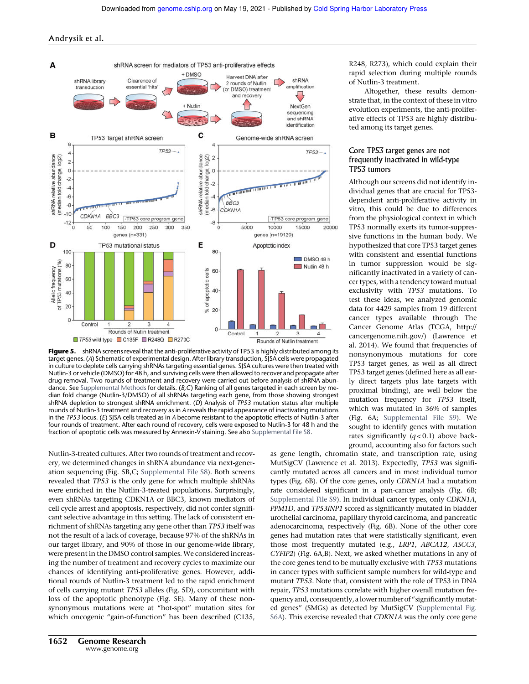![](_page_7_Figure_2.jpeg)

Figure 5. shRNA screens reveal that the anti-proliferative activity of TP53 is highly distributed among its target genes. (A) Schematic of experimental design. After library transduction, SJSA cells were propagated in culture to deplete cells carrying shRNAs targeting essential genes. SJSA cultures were then treated with Nutlin-3 or vehicle (DMSO) for 48 h, and surviving cells were then allowed to recover and propagate after drug removal. Two rounds of treatment and recovery were carried out before analysis of shRNA abundance. See Supplemental Methods for details. (B,C) Ranking of all genes targeted in each screen by median fold change (Nutlin-3/DMSO) of all shRNAs targeting each gene, from those showing strongest shRNA depletion to strongest shRNA enrichment. (D) Analysis of TP53 mutation status after multiple rounds of Nutlin-3 treatment and recovery as in A reveals the rapid appearance of inactivating mutations in the TP53 locus. (E) SJSA cells treated as in A become resistant to the apoptotic effects of Nutlin-3 after four rounds of treatment. After each round of recovery, cells were exposed to Nutlin-3 for 48 h and the fraction of apoptotic cells was measured by Annexin-V staining. See also Supplemental File S8.

Nutlin-3-treated cultures. After two rounds of treatment and recovery, we determined changes in shRNA abundance via next-generation sequencing (Fig. 5B,C; Supplemental File S8). Both screens revealed that *TP53* is the only gene for which multiple shRNAs were enriched in the Nutlin-3-treated populations. Surprisingly, even shRNAs targeting CDKN1A or BBC3, known mediators of cell cycle arrest and apoptosis, respectively, did not confer significant selective advantage in this setting. The lack of consistent enrichment of shRNAs targeting any gene other than *TP53* itself was not the result of a lack of coverage, because 97% of the shRNAs in our target library, and 90% of those in our genome-wide library, were present in the DMSO control samples. We considered increasing the number of treatment and recovery cycles to maximize our chances of identifying anti-proliferative genes. However, additional rounds of Nutlin-3 treatment led to the rapid enrichment of cells carrying mutant *TP53* alleles (Fig. 5D), concomitant with loss of the apoptotic phenotype (Fig. 5E). Many of these nonsynonymous mutations were at "hot-spot" mutation sites for which oncogenic "gain-of-function" has been described (C135, R248, R273), which could explain their rapid selection during multiple rounds of Nutlin-3 treatment.

Altogether, these results demonstrate that, in the context of these in vitro evolution experiments, the anti-proliferative effects of TP53 are highly distributed among its target genes.

## Core TP53 target genes are not frequently inactivated in wild-type TP53 tumors

Although our screens did not identify individual genes that are crucial for TP53 dependent anti-proliferative activity in vitro, this could be due to differences from the physiological context in which TP53 normally exerts its tumor-suppressive functions in the human body. We hypothesized that core TP53 target genes with consistent and essential functions in tumor suppression would be significantly inactivated in a variety of cancer types, with a tendency toward mutual exclusivity with *TP53* mutations. To test these ideas, we analyzed genomic data for 4429 samples from 19 different cancer types available through The Cancer Genome Atlas (TCGA, http:// cancergenome.nih.gov/) (Lawrence et al. 2014). We found that frequencies of nonsynonymous mutations for core TP53 target genes, as well as all direct TP53 target genes (defined here as all early direct targets plus late targets with proximal binding), are well below the mutation frequency for *TP53* itself, which was mutated in 36% of samples (Fig. 6A; Supplemental File S9). We sought to identify genes with mutation rates significantly  $(q<0.1)$  above background, accounting also for factors such

as gene length, chromatin state, and transcription rate, using MutSigCV (Lawrence et al. 2013). Expectedly, *TP53* was significantly mutated across all cancers and in most individual tumor types (Fig. 6B). Of the core genes, only *CDKN1A* had a mutation rate considered significant in a pan-cancer analysis (Fig. 6B; Supplemental File S9). In individual cancer types, only *CDKN1A*, *PPM1D*, and *TP53INP1* scored as significantly mutated in bladder urothelial carcinoma, papillary thyroid carcinoma, and pancreatic adenocarcinoma, respectively (Fig. 6B). None of the other core genes had mutation rates that were statistically significant, even those most frequently mutated (e.g., *LRP1*, *ABCA12*, *ASCC3*, *CYFIP2*) (Fig. 6A,B). Next, we asked whether mutations in any of the core genes tend to be mutually exclusive with *TP53* mutations in cancer types with sufficient sample numbers for wild-type and mutant *TP53*. Note that, consistent with the role of TP53 in DNA repair, *TP53* mutations correlate with higher overall mutation frequency and, consequently, a lower number of "significantly mutated genes" (SMGs) as detected by MutSigCV (Supplemental Fig. S6A). This exercise revealed that *CDKN1A* was the only core gene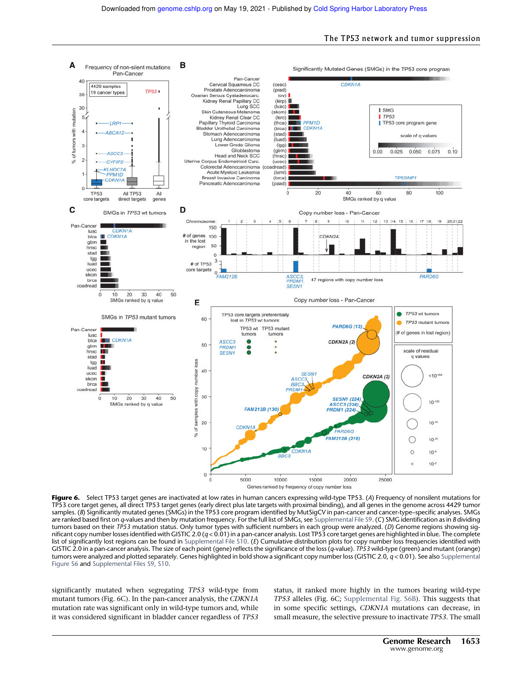![](_page_8_Figure_2.jpeg)

Figure 6. Select TP53 target genes are inactivated at low rates in human cancers expressing wild-type TP53. (A) Frequency of nonsilent mutations for TP53 core target genes, all direct TP53 target genes (early direct plus late targets with proximal binding), and all genes in the genome across 4429 tumor samples. (B) Significantly mutated genes (SMGs) in the TP53 core program identified by MutSigCV in pan-cancer and cancer-type–specific analyses. SMGs are ranked based first on q-values and then by mutation frequency. For the full list of SMGs, see Supplemental File S9. (C) SMG identification as in B dividing tumors based on their TP53 mutation status. Only tumor types with sufficient numbers in each group were analyzed. (D) Genome regions showing significant copy number losses identified with GISTIC 2.0  $(q< 0.01)$  in a pan-cancer analysis. Lost TP53 core target genes are highlighted in blue. The complete list of significantly lost regions can be found in Supplemental File S10. (E) Cumulative distribution plots for copy number loss frequencies identified with GISTIC 2.0 in a pan-cancer analysis. The size of each point (gene) reflects the significance of the loss (q-value). TP53 wild-type (green) and mutant (orange) tumors were analyzed and plotted separately. Genes highlighted in bold show a significant copy number loss (GISTIC 2.0,  $q < 0.01$ ). See also Supplemental Figure S6 and Supplemental Files S9, S10.

significantly mutated when segregating *TP53* wild-type from mutant tumors (Fig. 6C). In the pan-cancer analysis, the *CDKN1A* mutation rate was significant only in wild-type tumors and, while it was considered significant in bladder cancer regardless of *TP53* status, it ranked more highly in the tumors bearing wild-type *TP53* alleles (Fig. 6C; Supplemental Fig. S6B). This suggests that in some specific settings, *CDKN1A* mutations can decrease, in small measure, the selective pressure to inactivate *TP53*. The small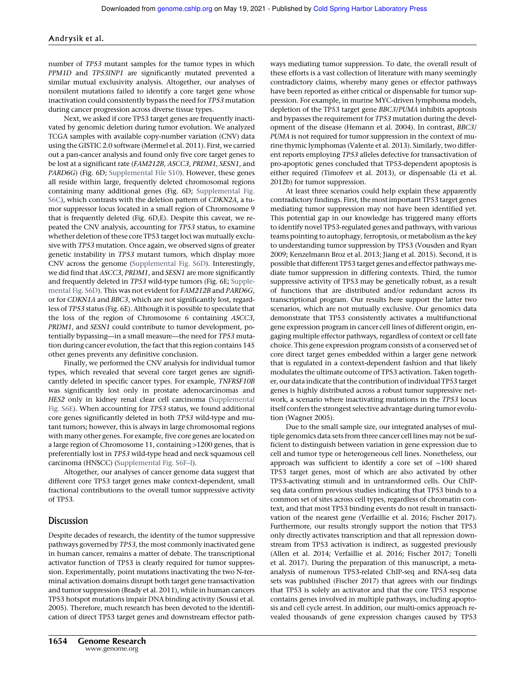number of *TP53* mutant samples for the tumor types in which *PPM1D* and *TP53INP1* are significantly mutated prevented a similar mutual exclusivity analysis. Altogether, our analyses of nonsilent mutations failed to identify a core target gene whose inactivation could consistently bypass the need for *TP53* mutation during cancer progression across diverse tissue types.

Next, we asked if core TP53 target genes are frequently inactivated by genomic deletion during tumor evolution. We analyzed TCGA samples with available copy-number variation (CNV) data using the GISTIC 2.0 software (Mermel et al. 2011). First, we carried out a pan-cancer analysis and found only five core target genes to be lost at a significant rate (*FAM212B*, *ASCC3*, *PRDM1*, *SESN1*, and *PARD6G*) (Fig. 6D; Supplemental File S10). However, these genes all reside within large, frequently deleted chromosomal regions containing many additional genes (Fig. 6D; Supplemental Fig. S6C), which contrasts with the deletion pattern of *CDKN2A*, a tumor suppressor locus located in a small region of Chromosome 9 that is frequently deleted (Fig. 6D,E). Despite this caveat, we repeated the CNV analysis, accounting for *TP53* status, to examine whether deletion of these core TP53 target loci was mutually exclusive with *TP53* mutation. Once again, we observed signs of greater genetic instability in *TP53* mutant tumors, which display more CNV across the genome (Supplemental Fig. S6D). Interestingly, we did find that *ASCC3*, *PRDM1*, and *SESN1* are more significantly and frequently deleted in *TP53* wild-type tumors (Fig. 6E; Supplemental Fig. S6D). This was not evident for *FAM212B* and *PARD6G*, or for *CDKN1A* and *BBC3*, which are not significantly lost, regardless of *TP53* status (Fig. 6E). Although it is possible to speculate that the loss of the region of Chromosome 6 containing *ASCC3*, *PRDM1*, and *SESN1* could contribute to tumor development, potentially bypassing—in a small measure—the need for *TP53* mutation during cancer evolution, the fact that this region contains 145 other genes prevents any definitive conclusion.

Finally, we performed the CNV analysis for individual tumor types, which revealed that several core target genes are significantly deleted in specific cancer types. For example, *TNFRSF10B* was significantly lost only in prostate adenocarcinomas and *HES2* only in kidney renal clear cell carcinoma (Supplemental Fig. S6E). When accounting for *TP53* status, we found additional core genes significantly deleted in both *TP53* wild-type and mutant tumors; however, this is always in large chromosomal regions with many other genes. For example, five core genes are located on a large region of Chromosome 11, containing >1200 genes, that is preferentially lost in *TP53* wild-type head and neck squamous cell carcinoma (HNSCC) (Supplemental Fig. S6F–I).

Altogether, our analyses of cancer genome data suggest that different core TP53 target genes make context-dependent, small fractional contributions to the overall tumor suppressive activity of TP53.

## Discussion

Despite decades of research, the identity of the tumor suppressive pathways governed by *TP53*, the most commonly inactivated gene in human cancer, remains a matter of debate. The transcriptional activator function of TP53 is clearly required for tumor suppression. Experimentally, point mutations inactivating the two N-terminal activation domains disrupt both target gene transactivation and tumor suppression (Brady et al. 2011), while in human cancers TP53 hotspot mutations impair DNA binding activity (Soussi et al. 2005). Therefore, much research has been devoted to the identification of direct TP53 target genes and downstream effector pathways mediating tumor suppression. To date, the overall result of these efforts is a vast collection of literature with many seemingly contradictory claims, whereby many genes or effector pathways have been reported as either critical or dispensable for tumor suppression. For example, in murine MYC-driven lymphoma models, depletion of the TP53 target gene *BBC3*/*PUMA* inhibits apoptosis and bypasses the requirement for *TP53* mutation during the development of the disease (Hemann et al. 2004). In contrast, *BBC3*/ *PUMA* is not required for tumor suppression in the context of murine thymic lymphomas (Valente et al. 2013). Similarly, two different reports employing *TP53* alleles defective for transactivation of pro-apoptotic genes concluded that TP53-dependent apoptosis is either required (Timofeev et al. 2013), or dispensable (Li et al. 2012b) for tumor suppression.

At least three scenarios could help explain these apparently contradictory findings. First, the most important TP53 target genes mediating tumor suppression may not have been identified yet. This potential gap in our knowledge has triggered many efforts to identify novel TP53-regulated genes and pathways, with various teams pointing to autophagy, ferroptosis, or metabolism as the key to understanding tumor suppression by TP53 (Vousden and Ryan 2009; Kenzelmann Broz et al. 2013; Jiang et al. 2015). Second, it is possible that different TP53 target genes and effector pathways mediate tumor suppression in differing contexts. Third, the tumor suppressive activity of TP53 may be genetically robust, as a result of functions that are distributed and/or redundant across its transcriptional program. Our results here support the latter two scenarios, which are not mutually exclusive. Our genomics data demonstrate that TP53 consistently activates a multifunctional gene expression program in cancer cell lines of different origin, engaging multiple effector pathways, regardless of context or cell fate choice. This gene expression program consists of a conserved set of core direct target genes embedded within a larger gene network that is regulated in a context-dependent fashion and that likely modulates the ultimate outcome of TP53 activation. Taken together, our data indicate that the contribution of individual TP53 target genes is highly distributed across a robust tumor suppressive network, a scenario where inactivating mutations in the *TP53* locus itself confers the strongest selective advantage during tumor evolution (Wagner 2005).

Due to the small sample size, our integrated analyses of multiple genomics data sets from three cancer cell lines may not be sufficient to distinguish between variation in gene expression due to cell and tumor type or heterogeneous cell lines. Nonetheless, our approach was sufficient to identify a core set of ∼100 shared TP53 target genes, most of which are also activated by other TP53-activating stimuli and in untransformed cells. Our ChIPseq data confirm previous studies indicating that TP53 binds to a common set of sites across cell types, regardless of chromatin context, and that most TP53 binding events do not result in transactivation of the nearest gene (Verfaillie et al. 2016; Fischer 2017). Furthermore, our results strongly support the notion that TP53 only directly activates transcription and that all repression downstream from TP53 activation is indirect, as suggested previously (Allen et al. 2014; Verfaillie et al. 2016; Fischer 2017; Tonelli et al. 2017). During the preparation of this manuscript, a metaanalysis of numerous TP53-related ChIP-seq and RNA-seq data sets was published (Fischer 2017) that agrees with our findings that TP53 is solely an activator and that the core TP53 response contains genes involved in multiple pathways, including apoptosis and cell cycle arrest. In addition, our multi-omics approach revealed thousands of gene expression changes caused by TP53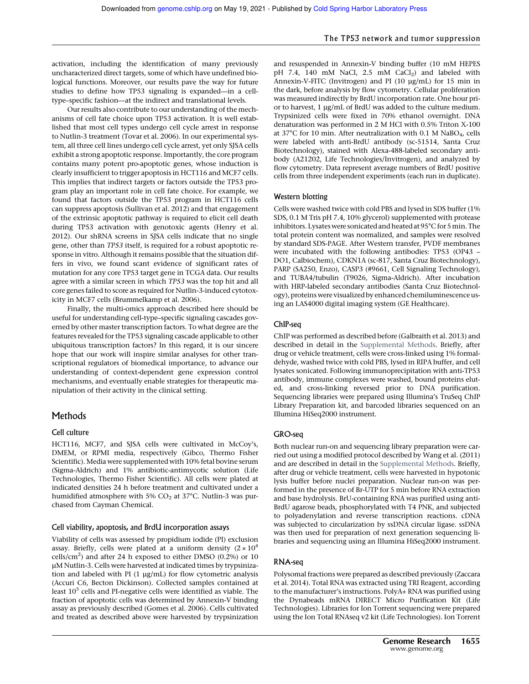activation, including the identification of many previously uncharacterized direct targets, some of which have undefined biological functions. Moreover, our results pave the way for future studies to define how TP53 signaling is expanded—in a celltype–specific fashion—at the indirect and translational levels.

Our results also contribute to our understanding of the mechanisms of cell fate choice upon TP53 activation. It is well established that most cell types undergo cell cycle arrest in response to Nutlin-3 treatment (Tovar et al. 2006). In our experimental system, all three cell lines undergo cell cycle arrest, yet only SJSA cells exhibit a strong apoptotic response. Importantly, the core program contains many potent pro-apoptotic genes, whose induction is clearly insufficient to trigger apoptosis in HCT116 and MCF7 cells. This implies that indirect targets or factors outside the TP53 program play an important role in cell fate choice. For example, we found that factors outside the TP53 program in HCT116 cells can suppress apoptosis (Sullivan et al. 2012) and that engagement of the extrinsic apoptotic pathway is required to elicit cell death during TP53 activation with genotoxic agents (Henry et al. 2012). Our shRNA screens in SJSA cells indicate that no single gene, other than *TP53* itself, is required for a robust apoptotic response in vitro. Although it remains possible that the situation differs in vivo, we found scant evidence of significant rates of mutation for any core TP53 target gene in TCGA data. Our results agree with a similar screen in which *TP53* was the top hit and all core genes failed to score as required for Nutlin-3-induced cytotoxicity in MCF7 cells (Brummelkamp et al. 2006).

Finally, the multi-omics approach described here should be useful for understanding cell-type–specific signaling cascades governed by other master transcription factors. To what degree are the features revealed for the TP53 signaling cascade applicable to other ubiquitous transcription factors? In this regard, it is our sincere hope that our work will inspire similar analyses for other transcriptional regulators of biomedical importance, to advance our understanding of context-dependent gene expression control mechanisms, and eventually enable strategies for therapeutic manipulation of their activity in the clinical setting.

## Methods

## Cell culture

HCT116, MCF7, and SJSA cells were cultivated in McCoy's, DMEM, or RPMI media, respectively (Gibco, Thermo Fisher Scientific). Media were supplemented with 10% fetal bovine serum (Sigma-Aldrich) and 1% antibiotic-antimycotic solution (Life Technologies, Thermo Fisher Scientific). All cells were plated at indicated densities 24 h before treatment and cultivated under a humidified atmosphere with 5%  $CO<sub>2</sub>$  at 37°C. Nutlin-3 was purchased from Cayman Chemical.

## Cell viability, apoptosis, and BrdU incorporation assays

Viability of cells was assessed by propidium iodide (PI) exclusion assay. Briefly, cells were plated at a uniform density  $(2 \times 10^4$ cells/cm<sup>2</sup>) and after 24 h exposed to either DMSO (0.2%) or 10 µM Nutlin-3. Cells were harvested at indicated times by trypsinization and labeled with PI (1 µg/mL) for flow cytometric analysis (Accuri C6, Becton Dickinson). Collected samples contained at least  $10^5$  cells and PI-negative cells were identified as viable. The fraction of apoptotic cells was determined by Annexin-V binding assay as previously described (Gomes et al. 2006). Cells cultivated and treated as described above were harvested by trypsinization

and resuspended in Annexin-V binding buffer (10 mM HEPES pH 7.4, 140 mM NaCl, 2.5 mM  $CaCl<sub>2</sub>$ ) and labeled with Annexin-V-FITC (Invitrogen) and PI (10 µg/mL) for 15 min in the dark, before analysis by flow cytometry. Cellular proliferation was measured indirectly by BrdU incorporation rate. One hour prior to harvest, 1 µg/mL of BrdU was added to the culture medium. Trypsinized cells were fixed in 70% ethanol overnight. DNA denaturation was performed in 2 M HCl with 0.5% Triton X-100 at 37°C for 10 min. After neutralization with 0.1 M NaBO<sub>4</sub>, cells were labeled with anti-BrdU antibody (sc-51514, Santa Cruz Biotechnology), stained with Alexa-488-labeled secondary antibody (A21202, Life Technologies/Invitrogen), and analyzed by flow cytometry. Data represent average numbers of BrdU positive cells from three independent experiments (each run in duplicate).

## Western blotting

Cells were washed twice with cold PBS and lysed in SDS buffer (1% SDS, 0.1 M Tris pH 7.4, 10% glycerol) supplemented with protease inhibitors. Lysates were sonicated and heated at 95°C for 5min. The total protein content was normalized, and samples were resolved by standard SDS-PAGE. After Western transfer, PVDF membranes were incubated with the following antibodies: TP53 (OP43 – DO1, Calbiochem), CDKN1A (sc-817, Santa Cruz Biotechnology), PARP (SA250, Enzo), CASP3 (#9661, Cell Signaling Technology), and TUBA4/tubulin (T9026, Sigma-Aldrich). After incubation with HRP-labeled secondary antibodies (Santa Cruz Biotechnology), proteins were visualized by enhanced chemiluminescence using an LAS4000 digital imaging system (GE Healthcare).

## ChIP-seq

ChIP was performed as described before (Galbraith et al. 2013) and described in detail in the Supplemental Methods. Briefly, after drug or vehicle treatment, cells were cross-linked using 1% formaldehyde, washed twice with cold PBS, lysed in RIPA buffer, and cell lysates sonicated. Following immunoprecipitation with anti-TP53 antibody, immune complexes were washed, bound proteins eluted, and cross-linking reversed prior to DNA purification. Sequencing libraries were prepared using Illumina's TruSeq ChIP Library Preparation kit, and barcoded libraries sequenced on an Illumina HiSeq2000 instrument.

## GRO-seq

Both nuclear run-on and sequencing library preparation were carried out using a modified protocol described by Wang et al. (2011) and are described in detail in the Supplemental Methods. Briefly, after drug or vehicle treatment, cells were harvested in hypotonic lysis buffer before nuclei preparation. Nuclear run-on was performed in the presence of Br-UTP for 5 min before RNA extraction and base hydrolysis. BrU-containing RNA was purified using anti-BrdU agarose beads, phosphorylated with T4 PNK, and subjected to polyadenylation and reverse transcription reactions. cDNA was subjected to circularization by ssDNA circular ligase. ssDNA was then used for preparation of next generation sequencing libraries and sequencing using an Illumina HiSeq2000 instrument.

## RNA-seq

Polysomal fractions were prepared as described previously (Zaccara et al. 2014). Total RNA was extracted using TRI Reagent, according to the manufacturer's instructions. PolyA+ RNA was purified using the Dynabeads mRNA DIRECT Micro Purification Kit (Life Technologies). Libraries for Ion Torrent sequencing were prepared using the Ion Total RNAseq v2 kit (Life Technologies). Ion Torrent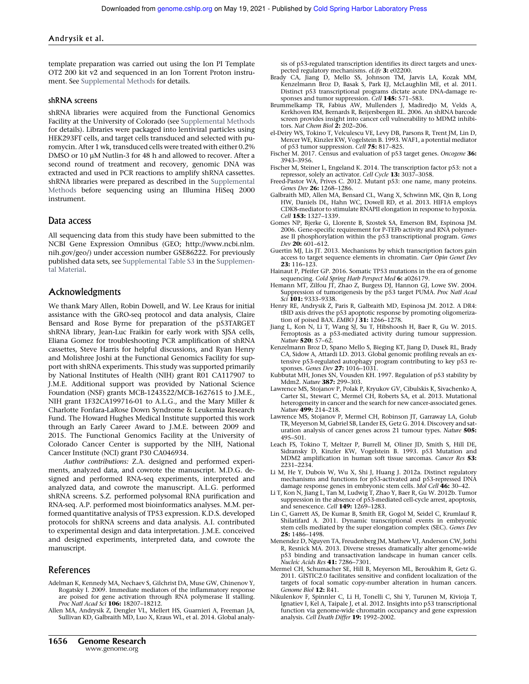template preparation was carried out using the Ion PI Template OT2 200 kit v2 and sequenced in an Ion Torrent Proton instrument. See Supplemental Methods for details.

## shRNA screens

shRNA libraries were acquired from the Functional Genomics Facility at the University of Colorado (see Supplemental Methods for details). Libraries were packaged into lentiviral particles using HEK293FT cells, and target cells transduced and selected with puromycin. After 1 wk, transduced cells were treated with either 0.2% DMSO or 10 µM Nutlin-3 for 48 h and allowed to recover. After a second round of treatment and recovery, genomic DNA was extracted and used in PCR reactions to amplify shRNA cassettes. shRNA libraries were prepared as described in the Supplemental Methods before sequencing using an Illumina HiSeq 2000 instrument.

#### Data access

All sequencing data from this study have been submitted to the NCBI Gene Expression Omnibus (GEO; http://www.ncbi.nlm. nih.gov/geo/) under accession number GSE86222. For previously published data sets, see Supplemental Table S3 in the Supplemental Material.

## Acknowledgments

We thank Mary Allen, Robin Dowell, and W. Lee Kraus for initial assistance with the GRO-seq protocol and data analysis, Claire Bensard and Rose Byrne for preparation of the p53TARGET shRNA library, Jean-Luc Fraikin for early work with SJSA cells, Eliana Gomez for troubleshooting PCR amplification of shRNA cassettes, Steve Harris for helpful discussions, and Ryan Henry and Molishree Joshi at the Functional Genomics Facility for support with shRNA experiments. This study was supported primarily by National Institutes of Health (NIH) grant R01 CA117907 to J.M.E. Additional support was provided by National Science Foundation (NSF) grants MCB-1243522/MCB-1627615 to J.M.E., NIH grant 1F32CA199716-01 to A.L.G., and the Mary Miller & Charlotte Fonfara-LaRose Down Syndrome & Leukemia Research Fund. The Howard Hughes Medical Institute supported this work through an Early Career Award to J.M.E. between 2009 and 2015. The Functional Genomics Facility at the University of Colorado Cancer Center is supported by the NIH, National Cancer Institute (NCI) grant P30 CA046934.

*Author contributions:* Z.A. designed and performed experiments, analyzed data, and cowrote the manuscript. M.D.G. designed and performed RNA-seq experiments, interpreted and analyzed data, and cowrote the manuscript. A.L.G. performed shRNA screens. S.Z. performed polysomal RNA purification and RNA-seq. A.P. performed most bioinformatics analyses. M.M. performed quantitative analysis of TP53 expression. K.D.S. developed protocols for shRNA screens and data analysis. A.I. contributed to experimental design and data interpretation. J.M.E. conceived and designed experiments, interpreted data, and cowrote the manuscript.

## References

- Adelman K, Kennedy MA, Nechaev S, Gilchrist DA, Muse GW, Chinenov Y, Rogatsky I. 2009. Immediate mediators of the inflammatory response are poised for gene activation through RNA polymerase II stalling. *Proc Natl Acad Sci* 106: 18207–18212.
- Allen MA, Andrysik Z, Dengler VL, Mellert HS, Guarnieri A, Freeman JA, Sullivan KD, Galbraith MD, Luo X, Kraus WL, et al. 2014. Global analy-

sis of p53-regulated transcription identifies its direct targets and unexpected regulatory mechanisms. *eLife* 3: e02200.

- Brady CA, Jiang D, Mello SS, Johnson TM, Jarvis LA, Kozak MM, Kenzelmann Broz D, Basak S, Park EJ, McLaughlin ME, et al. 2011. Distinct p53 transcriptional programs dictate acute DNA-damage responses and tumor suppression. *Cell* 145: 571–583.
- Brummelkamp TR, Fabius AW, Mullenders J, Madiredjo M, Velds A, Kerkhoven RM, Bernards R, Beijersbergen RL. 2006. An shRNA barcode screen provides insight into cancer cell vulnerability to MDM2 inhibitors. *Nat Chem Biol* 2: 202–206.
- el-Deiry WS, Tokino T, Velculescu VE, Levy DB, Parsons R, Trent JM, Lin D, Mercer WE, Kinzler KW, Vogelstein B. 1993. WAF1, a potential mediator of p53 tumor suppression. *Cell* 75: 817–825.
- Fischer M. 2017. Census and evaluation of p53 target genes. *Oncogene* 36: 3943–3956.
- Fischer M, Steiner L, Engeland K. 2014. The transcription factor p53: not a repressor, solely an activator. *Cell Cycle* 13: 3037–3058.
- Freed-Pastor WA, Prives C. 2012. Mutant p53: one name, many proteins. *Genes Dev* 26: 1268–1286.
- Galbraith MD, Allen MA, Bensard CL, Wang X, Schwinn MK, Qin B, Long HW, Daniels DL, Hahn WC, Dowell RD, et al. 2013. HIF1A employs CDK8-mediator to stimulate RNAPII elongation in response to hypoxia. *Cell* 153: 1327–1339.
- Gomes NP, Bjerke G, Llorente B, Szostek SA, Emerson BM, Espinosa JM. 2006. Gene-specific requirement for P-TEFb activity and RNA polymerase II phosphorylation within the p53 transcriptional program. *Genes Dev* 20: 601–612.
- Guertin MJ, Lis JT. 2013. Mechanisms by which transcription factors gain access to target sequence elements in chromatin. *Curr Opin Genet Dev* 23: 116–123.
- Hainaut P, Pfeifer GP. 2016. Somatic TP53 mutations in the era of genome sequencing. *Cold Spring Harb Perspect Med* 6: a026179.
- Hemann MT, Zilfou JT, Zhao Z, Burgess DJ, Hannon GJ, Lowe SW. 2004. Suppression of tumorigenesis by the p53 target PUMA. *Proc Natl Acad Sci* 101: 9333–9338.
- Henry RE, Andrysik Z, Paris R, Galbraith MD, Espinosa JM. 2012. A DR4: tBID axis drives the p53 apoptotic response by promoting oligomerization of poised BAX. *EMBO J* 31: 1266–1278.
- Jiang L, Kon N, Li T, Wang SJ, Su T, Hibshoosh H, Baer R, Gu W. 2015. Ferroptosis as a p53-mediated activity during tumour suppression. *Nature* 520: 57–62.
- Kenzelmann Broz D, Spano Mello S, Bieging KT, Jiang D, Dusek RL, Brady CA, Sidow A, Attardi LD. 2013. Global genomic profiling reveals an extensive p53-regulated autophagy program contributing to key p53 responses. *Genes Dev* 27: 1016–1031.
- Kubbutat MH, Jones SN, Vousden KH. 1997. Regulation of p53 stability by Mdm2. *Nature* 387: 299–303.
- Lawrence MS, Stojanov P, Polak P, Kryukov GV, Cibulskis K, Sivachenko A, Carter SL, Stewart C, Mermel CH, Roberts SA, et al. 2013. Mutational heterogeneity in cancer and the search for new cancer-associated genes. *Nature* 499: 214–218.
- Lawrence MS, Stojanov P, Mermel CH, Robinson JT, Garraway LA, Golub TR, Meyerson M, Gabriel SB, Lander ES, Getz G. 2014. Discovery and saturation analysis of cancer genes across 21 tumour types. *Nature* 505: 495–501.
- Leach FS, Tokino T, Meltzer P, Burrell M, Oliner JD, Smith S, Hill DE, Sidransky D, Kinzler KW, Vogelstein B. 1993. p53 Mutation and MDM2 amplification in human soft tissue sarcomas. *Cancer Res* 53: 2231–2234.
- Li M, He Y, Dubois W, Wu X, Shi J, Huang J. 2012a. Distinct regulatory mechanisms and functions for p53-activated and p53-repressed DNA damage response genes in embryonic stem cells. *Mol Cell* 46: 30–42.
- Li T, Kon N, Jiang L, Tan M, Ludwig T, Zhao Y, Baer R, Gu W. 2012b. Tumor suppression in the absence of p53-mediated cell-cycle arrest, apoptosis, and senescence. *Cell* 149: 1269–1283.
- Lin C, Garrett AS, De Kumar B, Smith ER, Gogol M, Seidel C, Krumlauf R, Shilatifard A. 2011. Dynamic transcriptional events in embryonic stem cells mediated by the super elongation complex (SEC). *Genes Dev* 25: 1486–1498.
- Menendez D, Nguyen TA, Freudenberg JM, Mathew VJ, Anderson CW, Jothi R, Resnick MA. 2013. Diverse stresses dramatically alter genome-wide p53 binding and transactivation landscape in human cancer cells. *Nucleic Acids Res* 41: 7286–7301.
- Mermel CH, Schumacher SE, Hill B, Meyerson ML, Beroukhim R, Getz G. 2011. GISTIC2.0 facilitates sensitive and confident localization of the targets of focal somatic copy-number alteration in human cancers. *Genome Biol* 12: R41.
- Nikulenkov F, Spinnler C, Li H, Tonelli C, Shi Y, Turunen M, Kivioja T, Ignatiev I, Kel A, Taipale J, et al. 2012. Insights into p53 transcriptional function via genome-wide chromatin occupancy and gene expression analysis. *Cell Death Differ* 19: 1992–2002.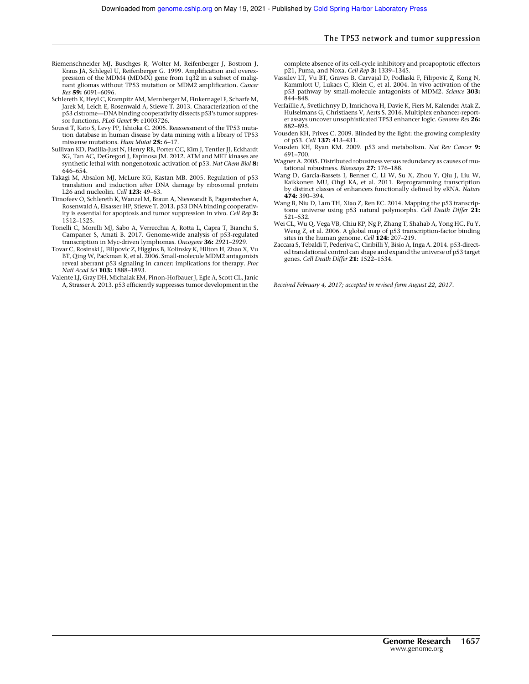- Riemenschneider MJ, Buschges R, Wolter M, Reifenberger J, Bostrom J, Kraus JA, Schlegel U, Reifenberger G. 1999. Amplification and overexpression of the MDM4 (MDMX) gene from 1q32 in a subset of malignant gliomas without TP53 mutation or MDM2 amplification. *Cancer Res* 59: 6091–6096.
- Schlereth K, Heyl C, Krampitz AM, Mernberger M, Finkernagel F, Scharfe M, Jarek M, Leich E, Rosenwald A, Stiewe T. 2013. Characterization of the p53 cistrome—DNA binding cooperativity dissects p53's tumor suppressor functions. *PLoS Genet* 9: e1003726.
- Soussi T, Kato S, Levy PP, Ishioka C. 2005. Reassessment of the TP53 mutation database in human disease by data mining with a library of TP53 missense mutations. *Hum Mutat* 25: 6–17.
- Sullivan KD, Padilla-Just N, Henry RE, Porter CC, Kim J, Tentler JJ, Eckhardt SG, Tan AC, DeGregori J, Espinosa JM. 2012. ATM and MET kinases are synthetic lethal with nongenotoxic activation of p53. *Nat Chem Biol* 8: 646–654.
- Takagi M, Absalon MJ, McLure KG, Kastan MB. 2005. Regulation of p53 translation and induction after DNA damage by ribosomal protein L26 and nucleolin. *Cell* 123: 49–63.
- Timofeev O, Schlereth K, Wanzel M, Braun A, Nieswandt B, Pagenstecher A, Rosenwald A, Elsasser HP, Stiewe T. 2013. p53 DNA binding cooperativity is essential for apoptosis and tumor suppression in vivo. *Cell Rep* 3: 1512–1525.
- Tonelli C, Morelli MJ, Sabo A, Verrecchia A, Rotta L, Capra T, Bianchi S, Campaner S, Amati B. 2017. Genome-wide analysis of p53-regulated transcription in Myc-driven lymphomas. *Oncogene* 36: 2921–2929.
- Tovar C, Rosinski J, Filipovic Z, Higgins B, Kolinsky K, Hilton H, Zhao X, Vu BT, Qing W, Packman K, et al. 2006. Small-molecule MDM2 antagonists reveal aberrant p53 signaling in cancer: implications for therapy. *Proc Natl Acad Sci* 103: 1888–1893.
- Valente LJ, Gray DH, Michalak EM, Pinon-Hofbauer J, Egle A, Scott CL, Janic A, Strasser A. 2013. p53 efficiently suppresses tumor development in the

complete absence of its cell-cycle inhibitory and proapoptotic effectors p21, Puma, and Noxa. *Cell Rep* 3: 1339–1345.

- Vassilev LT, Vu BT, Graves B, Carvajal D, Podlaski F, Filipovic Z, Kong N, Kammlott U, Lukacs C, Klein C, et al. 2004. In vivo activation of the p53 pathway by small-molecule antagonists of MDM2. *Science* 303:  $844 - 848.$
- Verfaillie A, Svetlichnyy D, Imrichova H, Davie K, Fiers M, Kalender Atak Z, Hulselmans G, Christiaens V, Aerts S. 2016. Multiplex enhancer-reporter assays uncover unsophisticated TP53 enhancer logic. *Genome Res* 26: 882–895.
- Vousden KH, Prives C. 2009. Blinded by the light: the growing complexity of p53. *Cell* 137: 413–431.
- Vousden KH, Ryan KM. 2009. p53 and metabolism. *Nat Rev Cancer* 9: 691–700.
- Wagner A. 2005. Distributed robustness versus redundancy as causes of mutational robustness. *Bioessays* 27: 176–188.
- Wang D, Garcia-Bassets I, Benner C, Li W, Su X, Zhou Y, Qiu J, Liu W, Kaikkonen MU, Ohgi KA, et al. 2011. Reprogramming transcription by distinct classes of enhancers functionally defined by eRNA. *Nature* 474: 390–394.
- Wang B, Niu D, Lam TH, Xiao Z, Ren EC. 2014. Mapping the p53 transcriptome universe using p53 natural polymorphs. *Cell Death Differ* 21: 521–532.
- Wei CL, Wu Q, Vega VB, Chiu KP, Ng P, Zhang T, Shahab A, Yong HC, Fu Y, Weng Z, et al. 2006. A global map of p53 transcription-factor binding sites in the human genome. *Cell* 124: 207–219.
- Zaccara S, Tebaldi T, Pederiva C, Ciribilli Y, Bisio A, Inga A. 2014. p53-directed translational control can shape and expand the universe of p53 target genes. *Cell Death Differ* 21: 1522–1534.

*Received February 4, 2017; accepted in revised form August 22, 2017.*